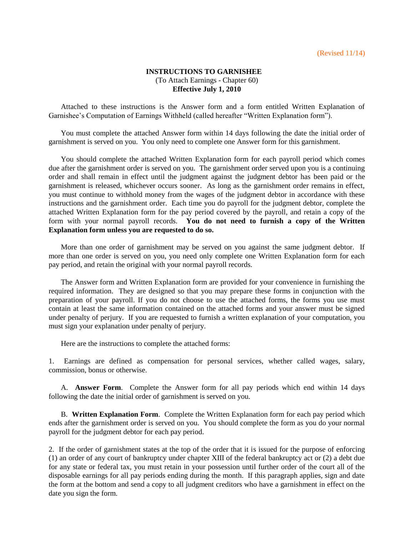## **INSTRUCTIONS TO GARNISHEE** (To Attach Earnings - Chapter 60) **Effective July 1, 2010**

Attached to these instructions is the Answer form and a form entitled Written Explanation of Garnishee's Computation of Earnings Withheld (called hereafter "Written Explanation form").

You must complete the attached Answer form within 14 days following the date the initial order of garnishment is served on you. You only need to complete one Answer form for this garnishment.

You should complete the attached Written Explanation form for each payroll period which comes due after the garnishment order is served on you. The garnishment order served upon you is a continuing order and shall remain in effect until the judgment against the judgment debtor has been paid or the garnishment is released, whichever occurs sooner. As long as the garnishment order remains in effect, you must continue to withhold money from the wages of the judgment debtor in accordance with these instructions and the garnishment order. Each time you do payroll for the judgment debtor, complete the attached Written Explanation form for the pay period covered by the payroll, and retain a copy of the form with your normal payroll records. **You do not need to furnish a copy of the Written Explanation form unless you are requested to do so.**

More than one order of garnishment may be served on you against the same judgment debtor. If more than one order is served on you, you need only complete one Written Explanation form for each pay period, and retain the original with your normal payroll records.

The Answer form and Written Explanation form are provided for your convenience in furnishing the required information. They are designed so that you may prepare these forms in conjunction with the preparation of your payroll. If you do not choose to use the attached forms, the forms you use must contain at least the same information contained on the attached forms and your answer must be signed under penalty of perjury. If you are requested to furnish a written explanation of your computation, you must sign your explanation under penalty of perjury.

Here are the instructions to complete the attached forms:

1. Earnings are defined as compensation for personal services, whether called wages, salary, commission, bonus or otherwise.

A. **Answer Form**. Complete the Answer form for all pay periods which end within 14 days following the date the initial order of garnishment is served on you.

B. **Written Explanation Form**. Complete the Written Explanation form for each pay period which ends after the garnishment order is served on you. You should complete the form as you do your normal payroll for the judgment debtor for each pay period.

2. If the order of garnishment states at the top of the order that it is issued for the purpose of enforcing (1) an order of any court of bankruptcy under chapter XIII of the federal bankruptcy act or (2) a debt due for any state or federal tax, you must retain in your possession until further order of the court all of the disposable earnings for all pay periods ending during the month. If this paragraph applies, sign and date the form at the bottom and send a copy to all judgment creditors who have a garnishment in effect on the date you sign the form.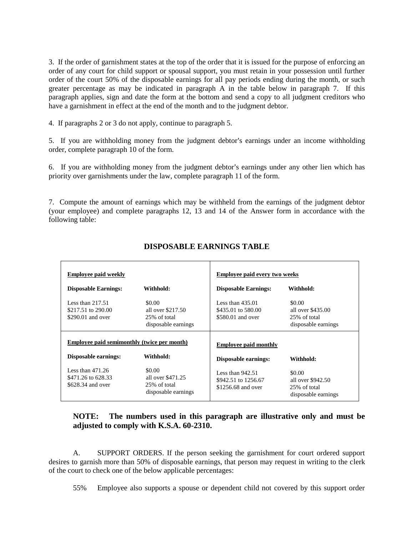3. If the order of garnishment states at the top of the order that it is issued for the purpose of enforcing an order of any court for child support or spousal support, you must retain in your possession until further order of the court 50% of the disposable earnings for all pay periods ending during the month, or such greater percentage as may be indicated in paragraph A in the table below in paragraph 7. If this paragraph applies, sign and date the form at the bottom and send a copy to all judgment creditors who have a garnishment in effect at the end of the month and to the judgment debtor.

4. If paragraphs 2 or 3 do not apply, continue to paragraph 5.

5. If you are withholding money from the judgment debtor's earnings under an income withholding order, complete paragraph 10 of the form.

6. If you are withholding money from the judgment debtor's earnings under any other lien which has priority over garnishments under the law, complete paragraph 11 of the form.

7. Compute the amount of earnings which may be withheld from the earnings of the judgment debtor (your employee) and complete paragraphs 12, 13 and 14 of the Answer form in accordance with the following table:

| <b>Employee paid weekly</b>                                    |                                                                     | <b>Employee paid every two weeks</b>                            |                                                                     |
|----------------------------------------------------------------|---------------------------------------------------------------------|-----------------------------------------------------------------|---------------------------------------------------------------------|
| <b>Disposable Earnings:</b>                                    | Withhold:                                                           | <b>Disposable Earnings:</b>                                     | Withhold:                                                           |
| Less than $217.51$<br>\$217.51 to 290.00<br>$$290.01$ and over | \$0.00<br>all over $$217.50$<br>25% of total<br>disposable earnings | Less than $435.01$<br>\$435.01 to 580.00<br>\$580.01 and over   | \$0.00<br>all over $$435.00$<br>25% of total<br>disposable earnings |
| Employee paid semimonthly (twice per month)                    |                                                                     | <b>Employee paid monthly</b>                                    |                                                                     |
| Disposable earnings:                                           | Withhold:                                                           | <b>Disposable earnings:</b>                                     | Withhold:                                                           |
| Less than $471.26$<br>\$471.26 to 628.33<br>\$628.34 and over  | \$0.00<br>all over \$471.25<br>25% of total<br>disposable earnings  | Less than $942.51$<br>\$942.51 to 1256.67<br>\$1256.68 and over | \$0.00<br>all over \$942.50<br>25% of total<br>disposable earnings  |

## **DISPOSABLE EARNINGS TABLE**

## **NOTE: The numbers used in this paragraph are illustrative only and must be adjusted to comply with K.S.A. 60-2310.**

A. SUPPORT ORDERS. If the person seeking the garnishment for court ordered support desires to garnish more than 50% of disposable earnings, that person may request in writing to the clerk of the court to check one of the below applicable percentages:

55% Employee also supports a spouse or dependent child not covered by this support order